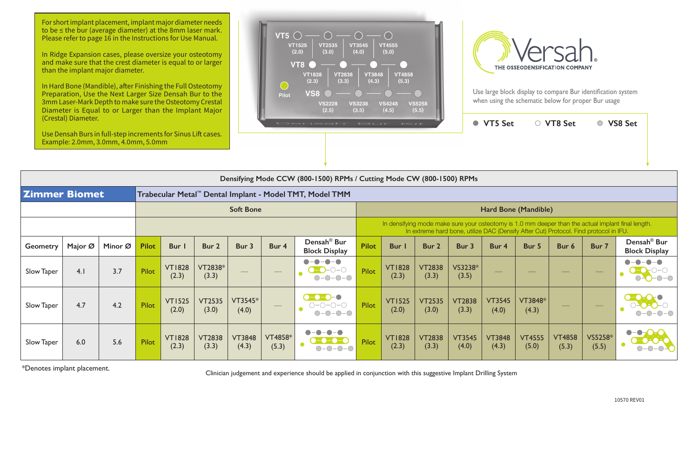|                      | (Crestal) Diameter. | Use Densah Burs in full-step increments for Sinus Lift cases.<br>Example: 2.0mm, 3.0mm, 4.0mm, 5.0mm |                                                                                                     |                        |                        |                        |                                | Densah'                                                                  | $\sqrt{2}$ | $L = IL$                                                                                                                                                                                    |                        |                        | ● VT5 Set              |                        | ○ VT8 Set              |                                             | ○ VS8 Set                                       |  |  |  |
|----------------------|---------------------|------------------------------------------------------------------------------------------------------|-----------------------------------------------------------------------------------------------------|------------------------|------------------------|------------------------|--------------------------------|--------------------------------------------------------------------------|------------|---------------------------------------------------------------------------------------------------------------------------------------------------------------------------------------------|------------------------|------------------------|------------------------|------------------------|------------------------|---------------------------------------------|-------------------------------------------------|--|--|--|
|                      |                     |                                                                                                      |                                                                                                     |                        |                        |                        |                                | Densifying Mode CCW (800-1500) RPMs / Cutting Mode CW (800-1500) RPMs    |            |                                                                                                                                                                                             |                        |                        |                        |                        |                        |                                             |                                                 |  |  |  |
| <b>Zimmer Biomet</b> |                     |                                                                                                      |                                                                                                     |                        |                        |                        |                                | Trabecular Metal <sup>™</sup> Dental Implant - Model TMT, Model TMM      |            |                                                                                                                                                                                             |                        |                        |                        |                        |                        |                                             |                                                 |  |  |  |
|                      |                     |                                                                                                      |                                                                                                     |                        |                        | <b>Soft Bone</b>       |                                |                                                                          |            |                                                                                                                                                                                             |                        |                        |                        | Hard Bone (Mandible)   |                        |                                             |                                                 |  |  |  |
|                      |                     |                                                                                                      |                                                                                                     |                        |                        |                        |                                |                                                                          |            | In densifying mode make sure your osteotomy is 1.0 mm deeper than the actual implant final length.<br>In extreme hard bone, utilize DAC (Densify After Cut) Protocol. Find protocol in IFU. |                        |                        |                        |                        |                        |                                             |                                                 |  |  |  |
| <b>Geometry</b>      | Major Ø             | Minor Ø                                                                                              | Densah <sup>®</sup> Bur<br><b>Pilot</b><br>Bur 2<br>Bur 3<br>Bur 4<br>Bur I<br><b>Block Display</b> |                        |                        |                        |                                |                                                                          |            | <b>Bur</b>                                                                                                                                                                                  | Bur 2                  | Bur 3                  | Bur 4                  | Bur 5                  | Bur 6                  | Bur 7                                       | Densah <sup>®</sup> Bur<br><b>Block Display</b> |  |  |  |
| Slow Taper           | 4.1                 | 3.7                                                                                                  | Pilot                                                                                               | <b>VT1828</b><br>(2.3) | VT2838*<br>(3.3)       |                        |                                | $-\bullet-\bullet$<br>$\cdot$ $\bullet$<br>$\bullet$ -O-O-O<br>$O-O-O-O$ | Pilot      | <b>VT1828</b><br>(2.3)                                                                                                                                                                      | <b>VT2838</b><br>(3.3) | VS3238*<br>(3.5)       |                        |                        |                        |                                             | $\bullet - \bullet$<br>$O-O-O-O$                |  |  |  |
| Slow Taper           | 4.7                 | 4.2                                                                                                  | Pilot                                                                                               | <b>VT1525</b><br>(2.0) | <b>VT2535</b><br>(3.0) | VT3545*<br>(4.0)       | $\overbrace{\hspace{40pt}}^{}$ | $-$ 0 $-$ 0 $-$ 0 $-$<br>$O-O-O-O$<br>$-0-0-0$                           | Pilot      | <b>VT1525</b><br>(2.0)                                                                                                                                                                      | <b>VT2535</b><br>(3.0) | <b>VT2838</b><br>(3.3) | <b>VT3545</b><br>(4.0) | VT3848*<br>(4.3)       |                        | $\hspace{1.0cm} \overbrace{\hspace{1.0cm}}$ |                                                 |  |  |  |
| Slow Taper           | 6.0                 | 5.6                                                                                                  | Pilot                                                                                               | <b>VT1828</b><br>(2.3) | <b>VT2838</b><br>(3.3) | <b>VT3848</b><br>(4.3) | VT4858*<br>(5.3)               | $\neg$                                                                   | Pilot      | <b>VT1828</b><br>(2.3)                                                                                                                                                                      | <b>VT2838</b><br>(3.3) | <b>VT3545</b><br>(4.0) | <b>VT3848</b><br>(4.3) | <b>VT4555</b><br>(5.0) | <b>VT4858</b><br>(5.3) | VS5258*<br>(5.5)                            |                                                 |  |  |  |

\*Denotes implant placement. Clinician judgement and experience should be applied in conjunction with this suggestive Implant Drilling System

10570 REV01

For short implant placement, implant major diameter needs to be ≤ the bur (average diameter) at the 8mm laser mark. Please refer to page 16 in the Instructions for Use Manual.

In Ridge Expansion cases, please oversize your osteotomy and make sure that the crest diameter is equal to or larger than the implant major diameter.

In Hard Bone (Mandible), after Finishing the Full Osteotomy Preparation, Use the Next Larger Size Densah Bur to the 3mm Laser-Mark Depth to make sure the Osteotomy Crestal Diameter is Equal to or Larger than the Implant Major (Crestal) Diameter.





Use large block display to compare Bur identification system when using the schematic below for proper Bur usage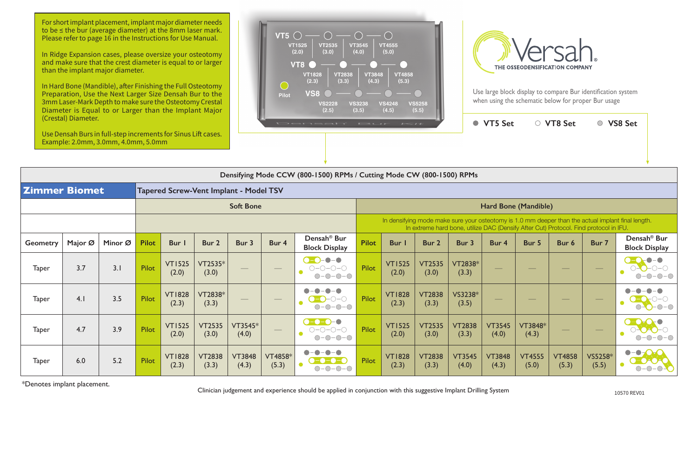|                      | $\mathsf{C}$ . $\mathsf{C}$ . $\mathsf{C}$ . $\mathsf{C}$ . $\mathsf{C}$ . $\mathsf{C}$ . $\mathsf{C}$<br>Use Densah Burs in full-step increments for Sinus Lift cases.<br>Example: 2.0mm, 3.0mm, 4.0mm, 5.0mm |         |                                                                                                     |                        |                                               |                        |                         | Densah <sup>"</sup> Bur                                                                                              |                      | $I \subset I$          |                        |                        | ● VT5 Set              |                        | ○ VT8 Set              |                                                                                       | ○ VS8 Set                                                                                          |  |  |  |
|----------------------|----------------------------------------------------------------------------------------------------------------------------------------------------------------------------------------------------------------|---------|-----------------------------------------------------------------------------------------------------|------------------------|-----------------------------------------------|------------------------|-------------------------|----------------------------------------------------------------------------------------------------------------------|----------------------|------------------------|------------------------|------------------------|------------------------|------------------------|------------------------|---------------------------------------------------------------------------------------|----------------------------------------------------------------------------------------------------|--|--|--|
|                      |                                                                                                                                                                                                                |         |                                                                                                     |                        |                                               |                        |                         |                                                                                                                      |                      |                        |                        |                        |                        |                        |                        |                                                                                       |                                                                                                    |  |  |  |
|                      |                                                                                                                                                                                                                |         |                                                                                                     |                        |                                               |                        |                         | Densifying Mode CCW (800-1500) RPMs / Cutting Mode CW (800-1500) RPMs                                                |                      |                        |                        |                        |                        |                        |                        |                                                                                       |                                                                                                    |  |  |  |
| <b>Zimmer Biomet</b> |                                                                                                                                                                                                                |         |                                                                                                     |                        | <b>Tapered Screw-Vent Implant - Model TSV</b> |                        |                         |                                                                                                                      |                      |                        |                        |                        |                        |                        |                        |                                                                                       |                                                                                                    |  |  |  |
|                      |                                                                                                                                                                                                                |         |                                                                                                     |                        |                                               | <b>Soft Bone</b>       |                         |                                                                                                                      | Hard Bone (Mandible) |                        |                        |                        |                        |                        |                        |                                                                                       |                                                                                                    |  |  |  |
|                      |                                                                                                                                                                                                                |         |                                                                                                     |                        |                                               |                        |                         |                                                                                                                      |                      |                        |                        |                        |                        |                        |                        | In extreme hard bone, utilize DAC (Densify After Cut) Protocol. Find protocol in IFU. | In densifying mode make sure your osteotomy is 1.0 mm deeper than the actual implant final length. |  |  |  |
| Geometry             | Major Ø                                                                                                                                                                                                        | Minor Ø | Densah <sup>®</sup> Bur<br><b>Pilot</b><br>Bur 4<br>Bur I<br>Bur 2<br>Bur 3<br><b>Block Display</b> |                        |                                               |                        |                         |                                                                                                                      | <b>Pilot</b>         | <b>Bur</b> I           | Bur 2                  | Bur 3                  | Bur 4                  | Bur 5                  | Bur 6                  | Bur 7                                                                                 | Densah <sup>®</sup> Bur<br><b>Block Display</b>                                                    |  |  |  |
| <b>Taper</b>         | 3.7                                                                                                                                                                                                            | 3.1     | Pilot                                                                                               | <b>VT1525</b><br>(2.0) | VT2535*<br>(3.0)                              |                        |                         | $\begin{array}{c} \n - \bullet - \bullet \n \end{array}$<br>$\bigcirc - \bigcirc - \bigcirc - \bigcirc$<br>$O-O-O-O$ | Pilot                | <b>VT1525</b><br>(2.0) | <b>VT2535</b><br>(3.0) | VT2838*<br>(3.3)       |                        |                        |                        |                                                                                       | $\bullet - \bullet$                                                                                |  |  |  |
| <b>Taper</b>         | 4.1                                                                                                                                                                                                            | 3.5     | Pilot                                                                                               | <b>VT1828</b><br>(2.3) | VT2838*<br>(3.3)                              |                        |                         | $-O$ - $O$<br>$O-O-O-O$                                                                                              | Pilot                | <b>VT1828</b><br>(2.3) | <b>VT2838</b><br>(3.3) | VS3238*<br>(3.5)       |                        |                        |                        |                                                                                       |                                                                                                    |  |  |  |
| <b>Taper</b>         | 4.7                                                                                                                                                                                                            | 3.9     | Pilot                                                                                               | <b>VT1525</b><br>(2.0) | <b>VT2535</b><br>(3.0)                        | VT3545*<br>(4.0)       |                         | $\bullet$ -0-0-0<br>$\bigcirc - \bigcirc - \bigcirc - \bigcirc$<br>$O-O-O-O$                                         | Pilot                | <b>VT1525</b><br>(2.0) | <b>VT2535</b><br>(3.0) | <b>VT2838</b><br>(3.3) | <b>VT3545</b><br>(4.0) | VT3848*<br>(4.3)       |                        |                                                                                       |                                                                                                    |  |  |  |
| <b>Taper</b>         | 6.0                                                                                                                                                                                                            | 5.2     | Pilot                                                                                               | <b>VT1828</b><br>(2.3) | <b>VT2838</b><br>(3.3)                        | <b>VT3848</b><br>(4.3) | <b>VT4858*</b><br>(5.3) |                                                                                                                      | Pilot                | <b>VT1828</b><br>(2.3) | <b>VT2838</b><br>(3.3) | <b>VT3545</b><br>(4.0) | <b>VT3848</b><br>(4.3) | <b>VT4555</b><br>(5.0) | <b>VT4858</b><br>(5.3) | VS5258*<br>(5.5)                                                                      | $\bullet$ - $\bullet$ -                                                                            |  |  |  |

\*Denotes implant placement. Clinician judgement and experience should be applied in conjunction with this suggestive Implant Drilling System 10570 REV01

For short implant placement, implant major diameter needs to be ≤ the bur (average diameter) at the 8mm laser mark. Please refer to page 16 in the Instructions for Use Manual.

In Ridge Expansion cases, please oversize your osteotomy and make sure that the crest diameter is equal to or larger than the implant major diameter.

In Hard Bone (Mandible), after Finishing the Full Osteotomy Preparation, Use the Next Larger Size Densah Bur to the 3mm Laser-Mark Depth to make sure the Osteotomy Crestal Diameter is Equal to or Larger than the Implant Major (Crestal) Diameter.





Use large block display to compare Bur identification system when using the schematic below for proper Bur usage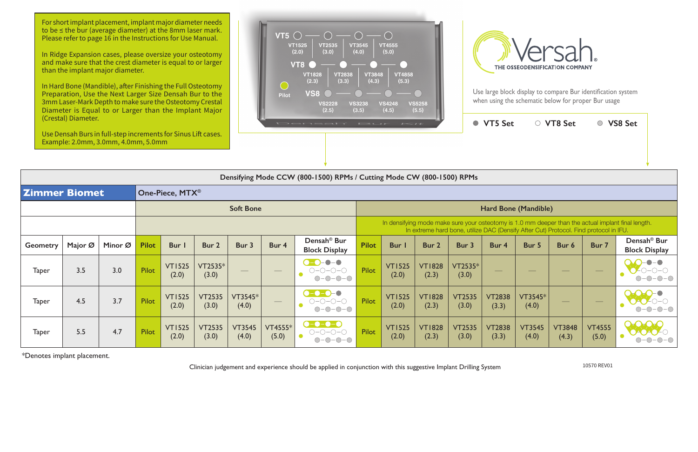|                      | (Crestal) Diameter. | Use Densah Burs in full-step increments for Sinus Lift cases.<br>Example: 2.0mm, 3.0mm, 4.0mm, 5.0mm |              |                             |                        |                                                                                                                                                                                             |                   | Densah' Bur                                                           |              | $L = 11$               |                        |                        | ● VT5 Set                                                                                                                                                                                                                                                                                                                                                                                                                                                                  |                                | ○ VT8 Set                |                          | ○ VS8 Set                                       |
|----------------------|---------------------|------------------------------------------------------------------------------------------------------|--------------|-----------------------------|------------------------|---------------------------------------------------------------------------------------------------------------------------------------------------------------------------------------------|-------------------|-----------------------------------------------------------------------|--------------|------------------------|------------------------|------------------------|----------------------------------------------------------------------------------------------------------------------------------------------------------------------------------------------------------------------------------------------------------------------------------------------------------------------------------------------------------------------------------------------------------------------------------------------------------------------------|--------------------------------|--------------------------|--------------------------|-------------------------------------------------|
|                      |                     |                                                                                                      |              |                             |                        |                                                                                                                                                                                             |                   | Densifying Mode CCW (800-1500) RPMs / Cutting Mode CW (800-1500) RPMs |              |                        |                        |                        |                                                                                                                                                                                                                                                                                                                                                                                                                                                                            |                                |                          |                          |                                                 |
| <b>Zimmer Biomet</b> |                     |                                                                                                      |              | One-Piece, MTX <sup>®</sup> |                        |                                                                                                                                                                                             |                   |                                                                       |              |                        |                        |                        |                                                                                                                                                                                                                                                                                                                                                                                                                                                                            |                                |                          |                          |                                                 |
|                      |                     |                                                                                                      |              |                             |                        | <b>Soft Bone</b>                                                                                                                                                                            |                   |                                                                       |              |                        |                        |                        |                                                                                                                                                                                                                                                                                                                                                                                                                                                                            | Hard Bone (Mandible)           |                          |                          |                                                 |
|                      |                     |                                                                                                      |              |                             |                        | In densifying mode make sure your osteotomy is 1.0 mm deeper than the actual implant final length.<br>In extreme hard bone, utilize DAC (Densify After Cut) Protocol. Find protocol in IFU. |                   |                                                                       |              |                        |                        |                        |                                                                                                                                                                                                                                                                                                                                                                                                                                                                            |                                |                          |                          |                                                 |
| <b>Geometry</b>      | Major Ø             | Minor Ø                                                                                              | <b>Pilot</b> | Bur I<br>Bur 2<br>Bur 3     |                        |                                                                                                                                                                                             | Bur 4             | Densah <sup>®</sup> Bur<br><b>Block Display</b>                       | <b>Pilot</b> | <b>Bur</b>             | Bur 2                  | Bur 3                  | Bur 4                                                                                                                                                                                                                                                                                                                                                                                                                                                                      | Bur 5                          | Bur 6                    | Bur 7                    | Densah <sup>®</sup> Bur<br><b>Block Display</b> |
| <b>Taper</b>         | 3.5                 | 3.0                                                                                                  | <b>Pilot</b> | <b>VT1525</b><br>(2.0)      | VT2535*<br>(3.0)       |                                                                                                                                                                                             | $\hspace{0.05cm}$ | $-$<br>$O-O-O-O-$<br>$O-O-O-O$                                        | Pilot        | <b>VT1525</b><br>(2.0) | <b>VT1828</b><br>(2.3) | VT2535*<br>(3.0)       | $\frac{1}{2} \left( \frac{1}{2} \right) \left( \frac{1}{2} \right) \left( \frac{1}{2} \right) \left( \frac{1}{2} \right) \left( \frac{1}{2} \right) \left( \frac{1}{2} \right) \left( \frac{1}{2} \right) \left( \frac{1}{2} \right) \left( \frac{1}{2} \right) \left( \frac{1}{2} \right) \left( \frac{1}{2} \right) \left( \frac{1}{2} \right) \left( \frac{1}{2} \right) \left( \frac{1}{2} \right) \left( \frac{1}{2} \right) \left( \frac{1}{2} \right) \left( \frac$ | $\overbrace{\hspace{25mm}}^{}$ | __                       | $\overline{\phantom{a}}$ |                                                 |
| <b>Taper</b>         | 4.5                 | 3.7                                                                                                  | <b>Pilot</b> | <b>VT1525</b><br>(2.0)      | <b>VT2535</b><br>(3.0) | VT3545*<br>(4.0)                                                                                                                                                                            | $\hspace{0.05cm}$ | $-0-0-0$<br>$O-O-O-O-$<br>$O-O-O-O$                                   | Pilot        | <b>VT1525</b><br>(2.0) | <b>VT1828</b><br>(2.3) | <b>VT2535</b><br>(3.0) | <b>VT2838</b><br>(3.3)                                                                                                                                                                                                                                                                                                                                                                                                                                                     | VT3545*<br>(4.0)               | $\overline{\phantom{a}}$ | $\overline{\phantom{a}}$ |                                                 |
| <b>Taper</b>         | 5.5                 | 4.7                                                                                                  | Pilot        | <b>VT1525</b><br>(2.0)      | <b>VT2535</b><br>(3.0) | <b>VT3545</b><br>(4.0)                                                                                                                                                                      | VT4555*<br>(5.0)  | $\bullet$ - $\bullet$ - $\bullet$<br>$O-O-O-O-$<br>$O-O-O-O$          | Pilot        | <b>VT1525</b><br>(2.0) | <b>VT1828</b><br>(2.3) | <b>VT2535</b><br>(3.0) | <b>VT2838</b><br>(3.3)                                                                                                                                                                                                                                                                                                                                                                                                                                                     | <b>VT3545</b><br>(4.0)         | <b>VT3848</b><br>(4.3)   | <b>VT4555</b><br>(5.0)   |                                                 |

\*Denotes implant placement.

Clinician judgement and experience should be applied in conjunction with this suggestive Implant Drilling System 10570 REV01

For short implant placement, implant major diameter needs to be ≤ the bur (average diameter) at the 8mm laser mark. Please refer to page 16 in the Instructions for Use Manual.

In Ridge Expansion cases, please oversize your osteotomy and make sure that the crest diameter is equal to or larger than the implant major diameter.

In Hard Bone (Mandible), after Finishing the Full Osteotomy Preparation, Use the Next Larger Size Densah Bur to the 3mm Laser-Mark Depth to make sure the Osteotomy Crestal Diameter is Equal to or Larger than the Implant Major (Crestal) Diameter.





Use large block display to compare Bur identification system when using the schematic below for proper Bur usage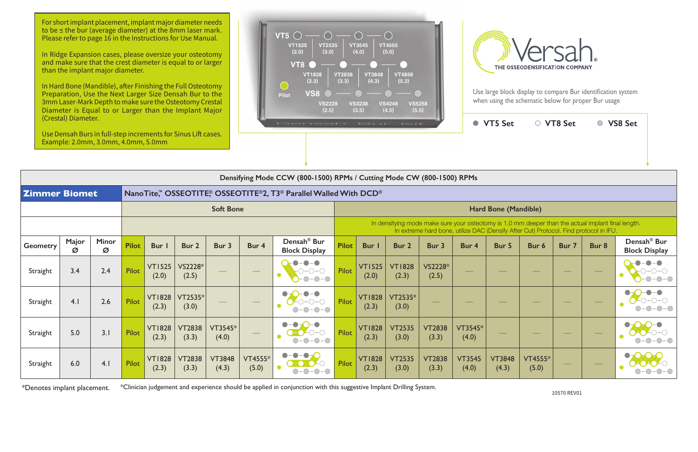|                   |                        | <b>VT5 Set</b>              |                                                                                                                                                             | ○ VT8 Set |       | <b>VS8 Set</b>                                  |
|-------------------|------------------------|-----------------------------|-------------------------------------------------------------------------------------------------------------------------------------------------------------|-----------|-------|-------------------------------------------------|
|                   |                        |                             |                                                                                                                                                             |           |       |                                                 |
|                   | 00-1500) RPMs          |                             |                                                                                                                                                             |           |       |                                                 |
|                   |                        |                             |                                                                                                                                                             |           |       |                                                 |
|                   |                        | <b>Hard Bone (Mandible)</b> |                                                                                                                                                             |           |       |                                                 |
|                   |                        |                             | ake sure your osteotomy is 1.0 mm deeper than the actual implant final length.<br>ard bone, utilize DAC (Densify After Cut) Protocol. Find protocol in IFU. |           |       |                                                 |
| 3 <sub>ur</sub>   | Bur 4                  | Bur 5                       | Bur 6                                                                                                                                                       | Bur 7     | Bur 8 | Densah <sup>®</sup> Bur<br><b>Block Display</b> |
| $S2228*$<br>(2.5) |                        |                             |                                                                                                                                                             |           |       |                                                 |
|                   |                        |                             |                                                                                                                                                             |           |       |                                                 |
| T2838<br>(3.3)    | VT3545*<br>(4.0)       |                             |                                                                                                                                                             |           |       |                                                 |
| T2838<br>(3.3)    | <b>VT3545</b><br>(4.0) | <b>VT3848</b><br>(4.3)      | VT4555*<br>(5.0)                                                                                                                                            |           |       |                                                 |

|                 | Densifying Mode CCW (800-1500) RPMs / Cutting Mode CW (800-1500) RPMs<br><b>Zimmer Biomet</b><br>NanoTite, <sup>™</sup> OSSEOTITE® OSSEOTITE®2, T3® Parallel Walled With DCD® |                   |                                                                             |                        |                        |                        |                                             |                                           |            |                        |                        |                                                                                                                                                                                             |                        |                        |                  |       |                                                 |  |
|-----------------|-------------------------------------------------------------------------------------------------------------------------------------------------------------------------------|-------------------|-----------------------------------------------------------------------------|------------------------|------------------------|------------------------|---------------------------------------------|-------------------------------------------|------------|------------------------|------------------------|---------------------------------------------------------------------------------------------------------------------------------------------------------------------------------------------|------------------------|------------------------|------------------|-------|-------------------------------------------------|--|
|                 |                                                                                                                                                                               |                   |                                                                             |                        |                        |                        |                                             |                                           |            |                        |                        |                                                                                                                                                                                             |                        |                        |                  |       |                                                 |  |
|                 |                                                                                                                                                                               |                   |                                                                             |                        |                        | <b>Soft Bone</b>       |                                             |                                           |            |                        |                        |                                                                                                                                                                                             |                        | Hard Bone (Mandible)   |                  |       |                                                 |  |
|                 |                                                                                                                                                                               |                   |                                                                             |                        |                        |                        |                                             |                                           |            |                        |                        | In densifying mode make sure your osteotomy is 1.0 mm deeper than the actual implant final length.<br>In extreme hard bone, utilize DAC (Densify After Cut) Protocol. Find protocol in IFU. |                        |                        |                  |       |                                                 |  |
| <b>Geometry</b> | Major<br>Ø                                                                                                                                                                    | <b>Minor</b><br>Ø | Densah <sup>®</sup> Bur<br><b>Pilot</b><br>Bur  <br>Bur 2<br>Bur 3<br>Bur 4 |                        |                        |                        | <b>Block Display</b>                        | <b>Pilot</b>                              | <b>Bur</b> | <b>Bur 2</b>           | Bur 3                  | Bur 4                                                                                                                                                                                       | Bur 5                  | Bur 6                  | Bur 7            | Bur 8 | Densah <sup>®</sup> Bur<br><b>Block Display</b> |  |
| Straight        | 3.4                                                                                                                                                                           | 2.4               | Pilot                                                                       | <b>VT1525</b><br>(2.0) | VS2228*<br>(2.5)       |                        |                                             | $\bullet$<br>$-O$ - $O$<br>$ \bigcap$ $-$ | Pilot      | <b>VT1525</b><br>(2.0) | <b>VT1828</b><br>(2.3) | VS2228*<br>(2.5)                                                                                                                                                                            |                        |                        |                  |       |                                                 |  |
| Straight        | 4.1                                                                                                                                                                           | 2.6               | Pilot                                                                       | <b>VT1828</b><br>(2.3) | VT2535*<br>(3.0)       |                        |                                             | $0$ -O-O-O<br>$-O$ -O<br>$\bigcirc$       | Pilot      | <b>VT1828</b><br>(2.3) | VT2535*<br>(3.0)       |                                                                                                                                                                                             |                        |                        |                  |       |                                                 |  |
| Straight        | 5.0                                                                                                                                                                           | 3.1               | Pilot                                                                       | <b>VT1828</b><br>(2.3) | <b>VT2838</b><br>(3.3) | VT3545*<br>(4.0)       | $\hspace{1.0cm} \overbrace{\hspace{1.0cm}}$ |                                           | Pilot      | <b>VT1828</b><br>(2.3) | <b>VT2535</b><br>(3.0) | <b>VT2838</b><br>(3.3)                                                                                                                                                                      | VT3545*<br>(4.0)       |                        |                  |       |                                                 |  |
| Straight        | 6.0                                                                                                                                                                           | 4.1               | Pilot                                                                       | <b>VT1828</b><br>(2.3) | <b>VT2838</b><br>(3.3) | <b>VT3848</b><br>(4.3) | VT4555*<br>(5.0)                            | <b>-0-C</b><br>-0-                        | Pilot      | <b>VT1828</b><br>(2.3) | <b>VT2535</b><br>(3.0) | <b>VT2838</b><br>(3.3)                                                                                                                                                                      | <b>VT3545</b><br>(4.0) | <b>VT3848</b><br>(4.3) | VT4555*<br>(5.0) |       |                                                 |  |

\*Denotes implant placement. \*Clinician judgement and experience should be applied in conjunction with this suggestive Implant Drilling System.

For short implant placement, implant major diameter needs to be ≤ the bur (average diameter) at the 8mm laser mark. Please refer to page 16 in the Instructions for Use Manual.

In Ridge Expansion cases, please oversize your osteotomy and make sure that the crest diameter is equal to or larger than the implant major diameter.

In Hard Bone (Mandible), after Finishing the Full Osteotomy Preparation, Use the Next Larger Size Densah Bur to the 3mm Laser-Mark Depth to make sure the Osteotomy Crestal Diameter is Equal to or Larger than the Implant Major (Crestal) Diameter.

Use Densah Burs in full-step increments for Sinus Lift cases. Example: 2.0mm, 3.0mm, 4.0mm, 5.0mm





Use large block display to compare Bur identification system when using the schematic below for proper Bur usage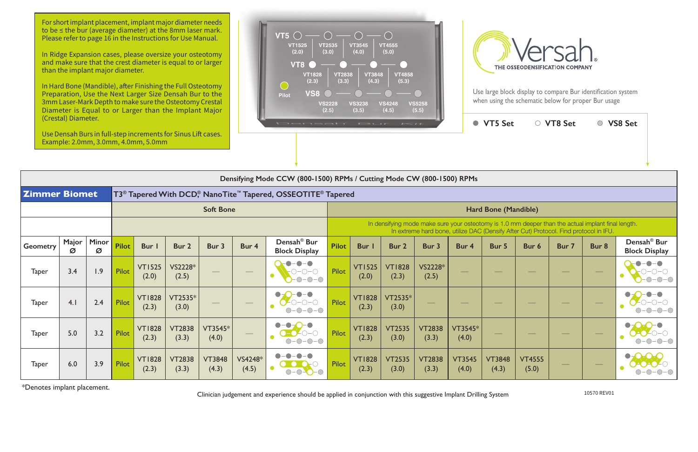Use large block display to compare Bur identification system when using the schematic below for proper Bur usage



 $O-O-O-O$ 

|                 | Densifying Mode CCW (800-1500) RPMs / Cutting Mode CW (800-1500) RPMs<br><b>Zimmer Biomet</b><br>T3 <sup>®</sup> Tapered With DCD <sup>®</sup> NanoTite <sup>™</sup> Tapered, OSSEOTITE <sup>®</sup> Tapered |                   |              |                        |                        |                        |                                 |                                                 |              |                        |                        |                                                                                                                                                                                             |                        |                        |                        |       |       |                                                 |
|-----------------|--------------------------------------------------------------------------------------------------------------------------------------------------------------------------------------------------------------|-------------------|--------------|------------------------|------------------------|------------------------|---------------------------------|-------------------------------------------------|--------------|------------------------|------------------------|---------------------------------------------------------------------------------------------------------------------------------------------------------------------------------------------|------------------------|------------------------|------------------------|-------|-------|-------------------------------------------------|
|                 |                                                                                                                                                                                                              |                   |              |                        |                        |                        |                                 |                                                 |              |                        |                        |                                                                                                                                                                                             |                        |                        |                        |       |       |                                                 |
|                 |                                                                                                                                                                                                              |                   |              |                        |                        | <b>Soft Bone</b>       |                                 |                                                 |              |                        |                        |                                                                                                                                                                                             |                        | Hard Bone (Mandible)   |                        |       |       |                                                 |
|                 |                                                                                                                                                                                                              |                   |              |                        |                        |                        |                                 |                                                 |              |                        |                        | In densifying mode make sure your osteotomy is 1.0 mm deeper than the actual implant final length.<br>In extreme hard bone, utilize DAC (Densify After Cut) Protocol. Find protocol in IFU. |                        |                        |                        |       |       |                                                 |
| <b>Geometry</b> | Major<br>Ø                                                                                                                                                                                                   | <b>Minor</b><br>Ø | <b>Pilot</b> | Bur                    | Bur 2                  | Bur 3                  | Bur 4                           | Densah <sup>®</sup> Bur<br><b>Block Display</b> | <b>Pilot</b> | <b>Bur</b> I           | Bur 2                  | Bur 3                                                                                                                                                                                       | Bur 4                  | Bur 5                  | Bur 6                  | Bur 7 | Bur 8 | Densah <sup>®</sup> Bur<br><b>Block Display</b> |
| <b>Taper</b>    | 3.4                                                                                                                                                                                                          | 1.9               | Pilot        | <b>VT1525</b><br>(2.0) | VS2228*<br>(2.5)       |                        |                                 |                                                 | Pilot        | <b>VT1525</b><br>(2.0) | <b>VT1828</b><br>(2.3) | VS2228*<br>(2.5)                                                                                                                                                                            |                        |                        |                        |       |       |                                                 |
| <b>Taper</b>    | 4.1                                                                                                                                                                                                          | 2.4               | Pilot        | <b>VT1828</b><br>(2.3) | VT2535*<br>(3.0)       |                        |                                 |                                                 | Pilot        | <b>VT1828</b><br>(2.3) | VT2535*<br>(3.0)       |                                                                                                                                                                                             |                        |                        |                        |       |       |                                                 |
| <b>Taper</b>    | 5.0                                                                                                                                                                                                          | 3.2               | Pilot        | <b>VT1828</b><br>(2.3) | <b>VT2838</b><br>(3.3) | VT3545*<br>(4.0)       | $\overbrace{\qquad \qquad }^{}$ |                                                 | Pilot        | <b>VT1828</b><br>(2.3) | <b>VT2535</b><br>(3.0) | <b>VT2838</b><br>(3.3)                                                                                                                                                                      | VT3545*<br>(4.0)       |                        |                        |       |       |                                                 |
| <b>Taper</b>    | 6.0                                                                                                                                                                                                          | 3.9               | Pilot        | <b>VT1828</b><br>(2.3) | <b>VT2838</b><br>(3.3) | <b>VT3848</b><br>(4.3) | VS4248*<br>(4.5)                |                                                 | Pilot        | <b>VT1828</b><br>(2.3) | <b>VT2535</b><br>(3.0) | <b>VT2838</b><br>(3.3)                                                                                                                                                                      | <b>VT3545</b><br>(4.0) | <b>VT3848</b><br>(4.3) | <b>VT4555</b><br>(5.0) |       |       |                                                 |

\*Denotes implant placement.

Clinician judgement and experience should be applied in conjunction with this suggestive Implant Drilling System 10570 REV01

For short implant placement, implant major diameter needs to be ≤ the bur (average diameter) at the 8mm laser mark. Please refer to page 16 in the Instructions for Use Manual.

In Ridge Expansion cases, please oversize your osteotomy and make sure that the crest diameter is equal to or larger than the implant major diameter.

In Hard Bone (Mandible), after Finishing the Full Osteotomy Preparation, Use the Next Larger Size Densah Bur to the 3mm Laser-Mark Depth to make sure the Osteotomy Crestal Diameter is Equal to or Larger than the Implant Major (Crestal) Diameter.

Use Densah Burs in full-step increments for Sinus Lift cases. Example: 2.0mm, 3.0mm, 4.0mm, 5.0mm



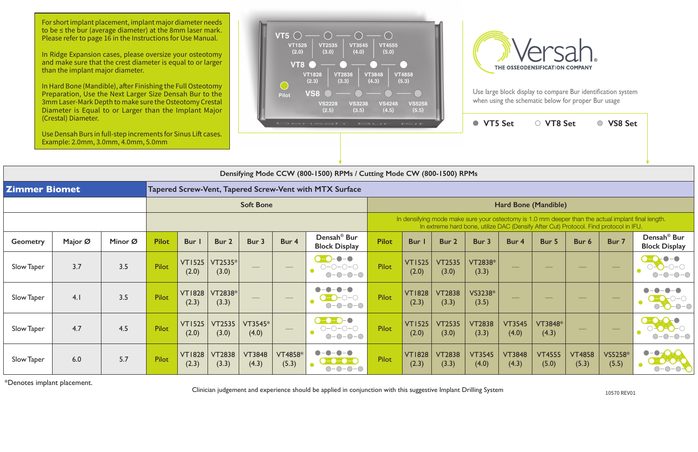Use large block display to compare Bur identification system when using the schematic below for proper Bur usage

|                      | (Crestal) Diameter.<br>Use Densah Burs in full-step increments for Sinus Lift cases.<br>Example: 2.0mm, 3.0mm, 4.0mm, 5.0mm |         |              |                        |                        |                        |                             | Densah <sup>®</sup> Bur                                                  |                      | $\sim$                 |                        | ● VT5 Set              |                        | ○ VT8 Set                                                                                                                                                                                   |                          | ○ VS8 Set                |                                                                           |  |  |
|----------------------|-----------------------------------------------------------------------------------------------------------------------------|---------|--------------|------------------------|------------------------|------------------------|-----------------------------|--------------------------------------------------------------------------|----------------------|------------------------|------------------------|------------------------|------------------------|---------------------------------------------------------------------------------------------------------------------------------------------------------------------------------------------|--------------------------|--------------------------|---------------------------------------------------------------------------|--|--|
|                      |                                                                                                                             |         |              |                        |                        |                        |                             | Densifying Mode CCW (800-1500) RPMs / Cutting Mode CW (800-1500) RPMs    |                      |                        |                        |                        |                        |                                                                                                                                                                                             |                          |                          |                                                                           |  |  |
| <b>Zimmer Biomet</b> |                                                                                                                             |         |              |                        |                        |                        |                             | Tapered Screw-Vent, Tapered Screw-Vent with MTX Surface                  |                      |                        |                        |                        |                        |                                                                                                                                                                                             |                          |                          |                                                                           |  |  |
|                      |                                                                                                                             |         |              |                        |                        | <b>Soft Bone</b>       |                             |                                                                          | Hard Bone (Mandible) |                        |                        |                        |                        |                                                                                                                                                                                             |                          |                          |                                                                           |  |  |
|                      |                                                                                                                             |         |              |                        |                        |                        |                             |                                                                          |                      |                        |                        |                        |                        | In densifying mode make sure your osteotomy is 1.0 mm deeper than the actual implant final length.<br>In extreme hard bone, utilize DAC (Densify After Cut) Protocol. Find protocol in IFU. |                          |                          |                                                                           |  |  |
| <b>Geometry</b>      | Major Ø                                                                                                                     | Minor Ø | <b>Pilot</b> | <b>Bur</b>             | Bur 2                  | Bur 3                  | Bur 4                       | Densah <sup>®</sup> Bur<br><b>Block Display</b>                          | <b>Pilot</b>         | <b>Bur</b>             | Bur 2                  | Bur 3                  | Bur 4                  | Bur 5                                                                                                                                                                                       | Bur 6                    | Bur 7                    | Densah <sup>®</sup> Bur<br><b>Block Display</b>                           |  |  |
| Slow Taper           | 3.7                                                                                                                         | 3.5     | <b>Pilot</b> | <b>VT1525</b><br>(2.0) | $VT2535*$<br>(3.0)     |                        | $\hspace{0.05cm}$           | $\bullet$ - $\bullet$<br>$\bullet$ - $\bullet$<br>$O-O-O-O$<br>$O-O-O-O$ | Pilot                | <b>VT1525</b><br>(2.0) | <b>VT2535</b><br>(3.0) | VT2838*<br>(3.3)       |                        |                                                                                                                                                                                             | $\overline{\phantom{a}}$ | $\hspace{0.05cm}$        | $\bullet - \bullet$<br>$ \bigcirc$ $ \bigcirc$<br>$ \bigcirc$ $ \bigcirc$ |  |  |
| Slow Taper           | 4.1                                                                                                                         | 3.5     | <b>Pilot</b> | <b>VT1828</b><br>(2.3) | VT2838*<br>(3.3)       |                        | $\hspace{0.05cm}$           | $\bullet$<br>$-$ O-O-O<br>$O-O-O-O$                                      | Pilot                | <b>VT1828</b><br>(2.3) | <b>VT2838</b><br>(3.3) | VS3238*<br>(3.5)       |                        |                                                                                                                                                                                             |                          | $\overline{\phantom{m}}$ | $O-O-O-C$                                                                 |  |  |
| Slow Taper           | 4.7                                                                                                                         | 4.5     | <b>Pilot</b> | <b>VT1525</b><br>(2.0) | <b>VT2535</b><br>(3.0) | VT3545*<br>(4.0)       | $\overbrace{\hspace{15em}}$ | $-0-0-0$<br>$O-O-O-O$<br>$O-O-O-O$                                       | Pilot                | <b>VT1525</b><br>(2.0) | <b>VT2535</b><br>(3.0) | <b>VT2838</b><br>(3.3) | <b>VT3545</b><br>(4.0) | VT3848*<br>(4.3)                                                                                                                                                                            |                          | $\hspace{0.05cm}$        | $-0-0$                                                                    |  |  |
| Slow Taper           | 6.0                                                                                                                         | 5.7     | Pilot        | <b>VT1828</b><br>(2.3) | <b>VT2838</b><br>(3.3) | <b>VT3848</b><br>(4.3) | VT4858*<br>(5.3)            | $\bullet$<br>$\cdot$ $\bigcirc$ $\cdot$                                  | Pilot                | <b>VT1828</b><br>(2.3) | <b>VT2838</b><br>(3.3) | <b>VT3545</b><br>(4.0) | <b>VT3848</b><br>(4.3) | <b>VT4555</b><br>(5.0)                                                                                                                                                                      | <b>VT4858</b><br>(5.3)   | VS5258*<br>(5.5)         | $\bullet$ - $\bullet$ - $\bullet$ - $\circ$                               |  |  |

\*Denotes implant placement.

10570 REV01

Clinician judgement and experience should be applied in conjunction with this suggestive Implant Drilling System

For short implant placement, implant major diameter needs to be ≤ the bur (average diameter) at the 8mm laser mark. Please refer to page 16 in the Instructions for Use Manual.

In Ridge Expansion cases, please oversize your osteotomy and make sure that the crest diameter is equal to or larger than the implant major diameter.

In Hard Bone (Mandible), after Finishing the Full Osteotomy Preparation, Use the Next Larger Size Densah Bur to the 3mm Laser-Mark Depth to make sure the Osteotomy Crestal Diameter is Equal to or Larger than the Implant Major (Crestal) Diameter.